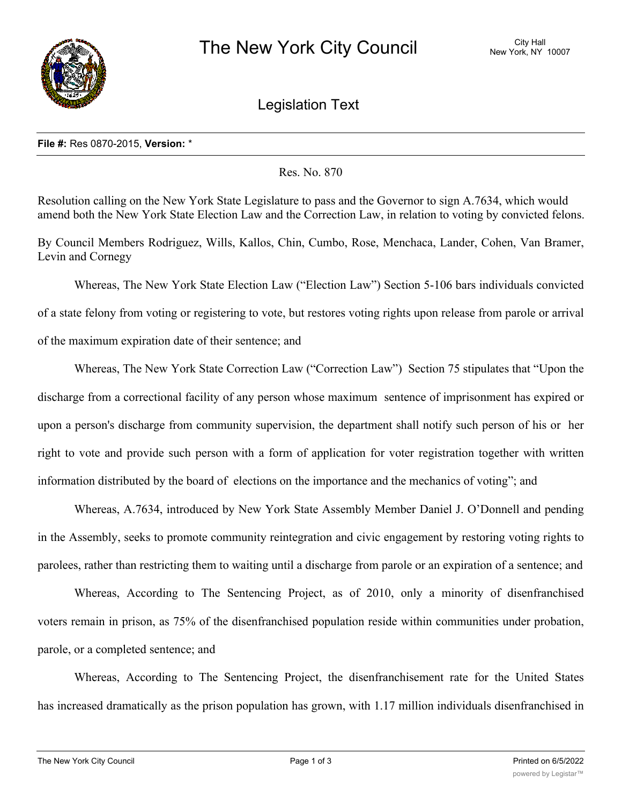

Legislation Text

## **File #:** Res 0870-2015, **Version:** \*

Res. No. 870

Resolution calling on the New York State Legislature to pass and the Governor to sign A.7634, which would amend both the New York State Election Law and the Correction Law, in relation to voting by convicted felons.

By Council Members Rodriguez, Wills, Kallos, Chin, Cumbo, Rose, Menchaca, Lander, Cohen, Van Bramer, Levin and Cornegy

Whereas, The New York State Election Law ("Election Law") Section 5-106 bars individuals convicted of a state felony from voting or registering to vote, but restores voting rights upon release from parole or arrival of the maximum expiration date of their sentence; and

Whereas, The New York State Correction Law ("Correction Law") Section 75 stipulates that "Upon the discharge from a correctional facility of any person whose maximum sentence of imprisonment has expired or upon a person's discharge from community supervision, the department shall notify such person of his or her right to vote and provide such person with a form of application for voter registration together with written information distributed by the board of elections on the importance and the mechanics of voting"; and

Whereas, A.7634, introduced by New York State Assembly Member Daniel J. O'Donnell and pending in the Assembly, seeks to promote community reintegration and civic engagement by restoring voting rights to parolees, rather than restricting them to waiting until a discharge from parole or an expiration of a sentence; and

Whereas, According to The Sentencing Project, as of 2010, only a minority of disenfranchised voters remain in prison, as 75% of the disenfranchised population reside within communities under probation, parole, or a completed sentence; and

Whereas, According to The Sentencing Project, the disenfranchisement rate for the United States has increased dramatically as the prison population has grown, with 1.17 million individuals disenfranchised in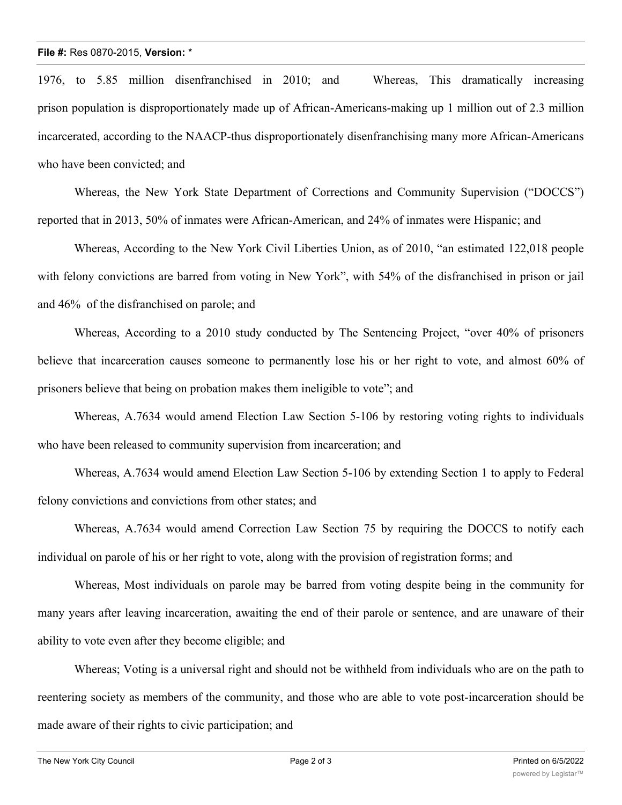## **File #:** Res 0870-2015, **Version:** \*

1976, to 5.85 million disenfranchised in 2010; and Whereas, This dramatically increasing prison population is disproportionately made up of African-Americans-making up 1 million out of 2.3 million incarcerated, according to the NAACP-thus disproportionately disenfranchising many more African-Americans who have been convicted; and

Whereas, the New York State Department of Corrections and Community Supervision ("DOCCS") reported that in 2013, 50% of inmates were African-American, and 24% of inmates were Hispanic; and

Whereas, According to the New York Civil Liberties Union, as of 2010, "an estimated 122,018 people with felony convictions are barred from voting in New York", with 54% of the disfranchised in prison or jail and 46% of the disfranchised on parole; and

Whereas, According to a 2010 study conducted by The Sentencing Project, "over 40% of prisoners believe that incarceration causes someone to permanently lose his or her right to vote, and almost 60% of prisoners believe that being on probation makes them ineligible to vote"; and

Whereas, A.7634 would amend Election Law Section 5-106 by restoring voting rights to individuals who have been released to community supervision from incarceration; and

Whereas, A.7634 would amend Election Law Section 5-106 by extending Section 1 to apply to Federal felony convictions and convictions from other states; and

Whereas, A.7634 would amend Correction Law Section 75 by requiring the DOCCS to notify each individual on parole of his or her right to vote, along with the provision of registration forms; and

Whereas, Most individuals on parole may be barred from voting despite being in the community for many years after leaving incarceration, awaiting the end of their parole or sentence, and are unaware of their ability to vote even after they become eligible; and

Whereas; Voting is a universal right and should not be withheld from individuals who are on the path to reentering society as members of the community, and those who are able to vote post-incarceration should be made aware of their rights to civic participation; and